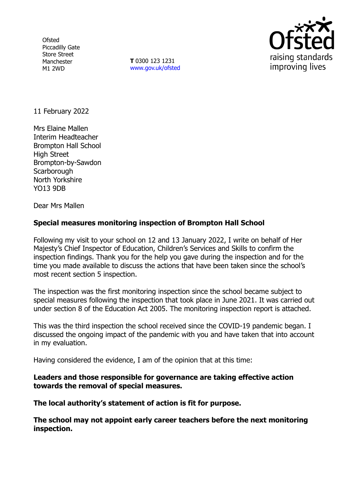**Ofsted** Piccadilly Gate Store Street Manchester M1 2WD

**T** 0300 123 1231 [www.gov.uk/ofsted](http://www.gov.uk/ofsted)



11 February 2022

Mrs Elaine Mallen Interim Headteacher Brompton Hall School High Street Brompton-by-Sawdon **Scarborough** North Yorkshire YO13 9DB

Dear Mrs Mallen

# **Special measures monitoring inspection of Brompton Hall School**

Following my visit to your school on 12 and 13 January 2022, I write on behalf of Her Majesty's Chief Inspector of Education, Children's Services and Skills to confirm the inspection findings. Thank you for the help you gave during the inspection and for the time you made available to discuss the actions that have been taken since the school's most recent section 5 inspection.

The inspection was the first monitoring inspection since the school became subject to special measures following the inspection that took place in June 2021. It was carried out under section 8 of the Education Act 2005. The monitoring inspection report is attached.

This was the third inspection the school received since the COVID-19 pandemic began. I discussed the ongoing impact of the pandemic with you and have taken that into account in my evaluation.

Having considered the evidence, I am of the opinion that at this time:

## **Leaders and those responsible for governance are taking effective action towards the removal of special measures.**

**The local authority's statement of action is fit for purpose.**

**The school may not appoint early career teachers before the next monitoring inspection.**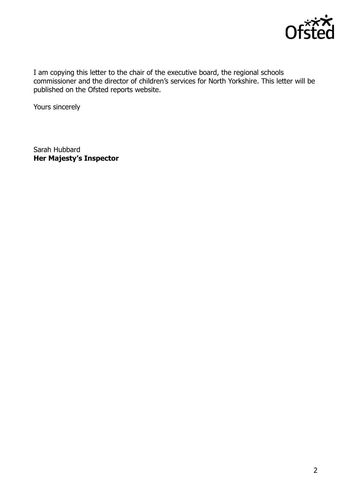

I am copying this letter to the chair of the executive board, the regional schools commissioner and the director of children's services for North Yorkshire. This letter will be published on the Ofsted reports website.

Yours sincerely

Sarah Hubbard **Her Majesty's Inspector**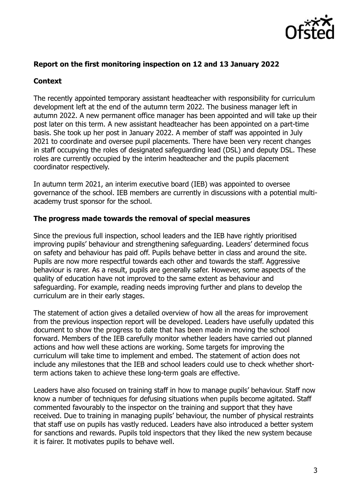

#### **Report on the first monitoring inspection on 12 and 13 January 2022**

## **Context**

The recently appointed temporary assistant headteacher with responsibility for curriculum development left at the end of the autumn term 2022. The business manager left in autumn 2022. A new permanent office manager has been appointed and will take up their post later on this term. A new assistant headteacher has been appointed on a part-time basis. She took up her post in January 2022. A member of staff was appointed in July 2021 to coordinate and oversee pupil placements. There have been very recent changes in staff occupying the roles of designated safeguarding lead (DSL) and deputy DSL. These roles are currently occupied by the interim headteacher and the pupils placement coordinator respectively.

In autumn term 2021, an interim executive board (IEB) was appointed to oversee governance of the school. IEB members are currently in discussions with a potential multiacademy trust sponsor for the school.

#### **The progress made towards the removal of special measures**

Since the previous full inspection, school leaders and the IEB have rightly prioritised improving pupils' behaviour and strengthening safeguarding. Leaders' determined focus on safety and behaviour has paid off. Pupils behave better in class and around the site. Pupils are now more respectful towards each other and towards the staff. Aggressive behaviour is rarer. As a result, pupils are generally safer. However, some aspects of the quality of education have not improved to the same extent as behaviour and safeguarding. For example, reading needs improving further and plans to develop the curriculum are in their early stages.

The statement of action gives a detailed overview of how all the areas for improvement from the previous inspection report will be developed. Leaders have usefully updated this document to show the progress to date that has been made in moving the school forward. Members of the IEB carefully monitor whether leaders have carried out planned actions and how well these actions are working. Some targets for improving the curriculum will take time to implement and embed. The statement of action does not include any milestones that the IEB and school leaders could use to check whether shortterm actions taken to achieve these long-term goals are effective.

Leaders have also focused on training staff in how to manage pupils' behaviour. Staff now know a number of techniques for defusing situations when pupils become agitated. Staff commented favourably to the inspector on the training and support that they have received. Due to training in managing pupils' behaviour, the number of physical restraints that staff use on pupils has vastly reduced. Leaders have also introduced a better system for sanctions and rewards. Pupils told inspectors that they liked the new system because it is fairer. It motivates pupils to behave well.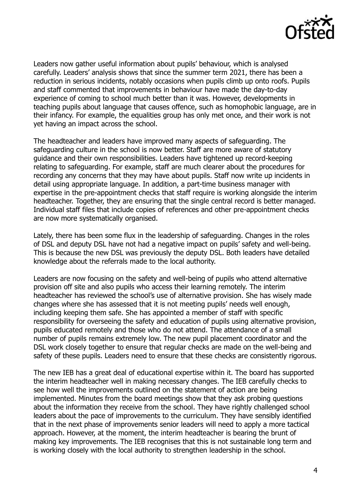

Leaders now gather useful information about pupils' behaviour, which is analysed carefully. Leaders' analysis shows that since the summer term 2021, there has been a reduction in serious incidents, notably occasions when pupils climb up onto roofs. Pupils and staff commented that improvements in behaviour have made the day-to-day experience of coming to school much better than it was. However, developments in teaching pupils about language that causes offence, such as homophobic language, are in their infancy. For example, the equalities group has only met once, and their work is not yet having an impact across the school.

The headteacher and leaders have improved many aspects of safeguarding. The safeguarding culture in the school is now better. Staff are more aware of statutory guidance and their own responsibilities. Leaders have tightened up record-keeping relating to safeguarding. For example, staff are much clearer about the procedures for recording any concerns that they may have about pupils. Staff now write up incidents in detail using appropriate language. In addition, a part-time business manager with expertise in the pre-appointment checks that staff require is working alongside the interim headteacher. Together, they are ensuring that the single central record is better managed. Individual staff files that include copies of references and other pre-appointment checks are now more systematically organised.

Lately, there has been some flux in the leadership of safeguarding. Changes in the roles of DSL and deputy DSL have not had a negative impact on pupils' safety and well-being. This is because the new DSL was previously the deputy DSL. Both leaders have detailed knowledge about the referrals made to the local authority.

Leaders are now focusing on the safety and well-being of pupils who attend alternative provision off site and also pupils who access their learning remotely. The interim headteacher has reviewed the school's use of alternative provision. She has wisely made changes where she has assessed that it is not meeting pupils' needs well enough, including keeping them safe. She has appointed a member of staff with specific responsibility for overseeing the safety and education of pupils using alternative provision, pupils educated remotely and those who do not attend. The attendance of a small number of pupils remains extremely low. The new pupil placement coordinator and the DSL work closely together to ensure that regular checks are made on the well-being and safety of these pupils. Leaders need to ensure that these checks are consistently rigorous.

The new IEB has a great deal of educational expertise within it. The board has supported the interim headteacher well in making necessary changes. The IEB carefully checks to see how well the improvements outlined on the statement of action are being implemented. Minutes from the board meetings show that they ask probing questions about the information they receive from the school. They have rightly challenged school leaders about the pace of improvements to the curriculum. They have sensibly identified that in the next phase of improvements senior leaders will need to apply a more tactical approach. However, at the moment, the interim headteacher is bearing the brunt of making key improvements. The IEB recognises that this is not sustainable long term and is working closely with the local authority to strengthen leadership in the school.